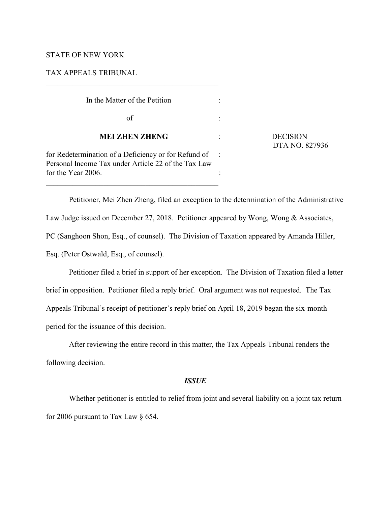## STATE OF NEW YORK

TAX APPEALS TRIBUNAL

| In the Matter of the Petition                                                                               |  |
|-------------------------------------------------------------------------------------------------------------|--|
| of                                                                                                          |  |
| <b>MEI ZHEN ZHENG</b>                                                                                       |  |
| for Redetermination of a Deficiency or for Refund of<br>Personal Income Tax under Article 22 of the Tax Law |  |
| for the Year 2006.                                                                                          |  |

\_\_\_\_\_\_\_\_\_\_\_\_\_\_\_\_\_\_\_\_\_\_\_\_\_\_\_\_\_\_\_\_\_\_\_\_\_\_\_\_\_\_\_\_\_

**DECISION** DTA NO. 827936

Petitioner, Mei Zhen Zheng, filed an exception to the determination of the Administrative Law Judge issued on December 27, 2018. Petitioner appeared by Wong, Wong & Associates, PC (Sanghoon Shon, Esq., of counsel). The Division of Taxation appeared by Amanda Hiller, Esq. (Peter Ostwald, Esq., of counsel).

Petitioner filed a brief in support of her exception. The Division of Taxation filed a letter brief in opposition. Petitioner filed a reply brief. Oral argument was not requested. The Tax Appeals Tribunal's receipt of petitioner's reply brief on April 18, 2019 began the six-month period for the issuance of this decision.

After reviewing the entire record in this matter, the Tax Appeals Tribunal renders the following decision.

# *ISSUE*

Whether petitioner is entitled to relief from joint and several liability on a joint tax return for 2006 pursuant to Tax Law § 654.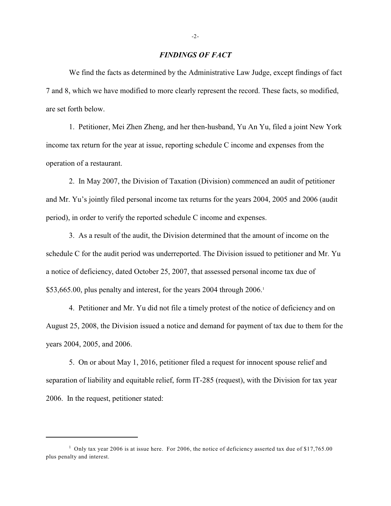# *FINDINGS OF FACT*

We find the facts as determined by the Administrative Law Judge, except findings of fact 7 and 8, which we have modified to more clearly represent the record. These facts, so modified, are set forth below.

1. Petitioner, Mei Zhen Zheng, and her then-husband, Yu An Yu, filed a joint New York income tax return for the year at issue, reporting schedule C income and expenses from the operation of a restaurant.

2. In May 2007, the Division of Taxation (Division) commenced an audit of petitioner and Mr. Yu's jointly filed personal income tax returns for the years 2004, 2005 and 2006 (audit period), in order to verify the reported schedule C income and expenses.

3. As a result of the audit, the Division determined that the amount of income on the schedule C for the audit period was underreported. The Division issued to petitioner and Mr. Yu a notice of deficiency, dated October 25, 2007, that assessed personal income tax due of \$53,665.00, plus penalty and interest, for the years 2004 through 2006.<sup>1</sup>

4. Petitioner and Mr. Yu did not file a timely protest of the notice of deficiency and on August 25, 2008, the Division issued a notice and demand for payment of tax due to them for the years 2004, 2005, and 2006.

5. On or about May 1, 2016, petitioner filed a request for innocent spouse relief and separation of liability and equitable relief, form IT-285 (request), with the Division for tax year 2006. In the request, petitioner stated:

<sup>&</sup>lt;sup>1</sup> Only tax year 2006 is at issue here. For 2006, the notice of deficiency asserted tax due of \$17,765.00 plus penalty and interest.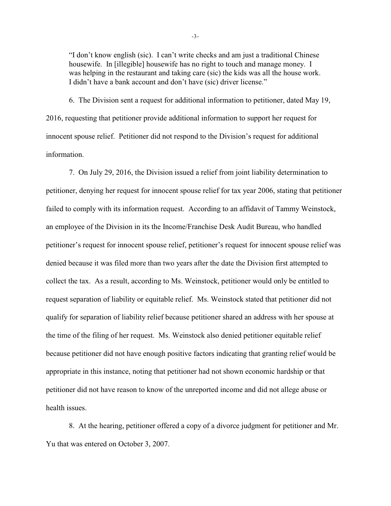"I don't know english (sic). I can't write checks and am just a traditional Chinese housewife. In [illegible] housewife has no right to touch and manage money. I was helping in the restaurant and taking care (sic) the kids was all the house work. I didn't have a bank account and don't have (sic) driver license."

6. The Division sent a request for additional information to petitioner, dated May 19, 2016, requesting that petitioner provide additional information to support her request for innocent spouse relief. Petitioner did not respond to the Division's request for additional information.

7. On July 29, 2016, the Division issued a relief from joint liability determination to petitioner, denying her request for innocent spouse relief for tax year 2006, stating that petitioner failed to comply with its information request. According to an affidavit of Tammy Weinstock, an employee of the Division in its the Income/Franchise Desk Audit Bureau, who handled petitioner's request for innocent spouse relief, petitioner's request for innocent spouse relief was denied because it was filed more than two years after the date the Division first attempted to collect the tax. As a result, according to Ms. Weinstock, petitioner would only be entitled to request separation of liability or equitable relief. Ms. Weinstock stated that petitioner did not qualify for separation of liability relief because petitioner shared an address with her spouse at the time of the filing of her request. Ms. Weinstock also denied petitioner equitable relief because petitioner did not have enough positive factors indicating that granting relief would be appropriate in this instance, noting that petitioner had not shown economic hardship or that petitioner did not have reason to know of the unreported income and did not allege abuse or health issues.

8. At the hearing, petitioner offered a copy of a divorce judgment for petitioner and Mr. Yu that was entered on October 3, 2007.

-3-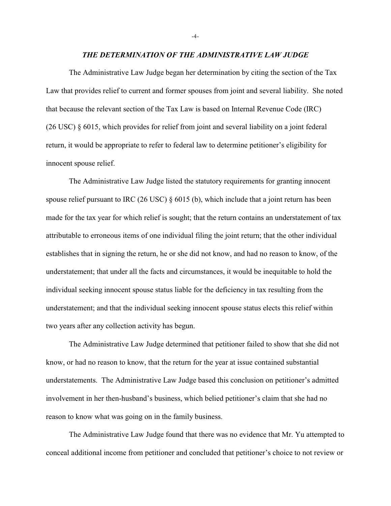#### *THE DETERMINATION OF THE ADMINISTRATIVE LAW JUDGE*

The Administrative Law Judge began her determination by citing the section of the Tax Law that provides relief to current and former spouses from joint and several liability. She noted that because the relevant section of the Tax Law is based on Internal Revenue Code (IRC) (26 USC)  $\S$  6015, which provides for relief from joint and several liability on a joint federal return, it would be appropriate to refer to federal law to determine petitioner's eligibility for innocent spouse relief.

The Administrative Law Judge listed the statutory requirements for granting innocent spouse relief pursuant to IRC (26 USC) § 6015 (b), which include that a joint return has been made for the tax year for which relief is sought; that the return contains an understatement of tax attributable to erroneous items of one individual filing the joint return; that the other individual establishes that in signing the return, he or she did not know, and had no reason to know, of the understatement; that under all the facts and circumstances, it would be inequitable to hold the individual seeking innocent spouse status liable for the deficiency in tax resulting from the understatement; and that the individual seeking innocent spouse status elects this relief within two years after any collection activity has begun.

The Administrative Law Judge determined that petitioner failed to show that she did not know, or had no reason to know, that the return for the year at issue contained substantial understatements. The Administrative Law Judge based this conclusion on petitioner's admitted involvement in her then-husband's business, which belied petitioner's claim that she had no reason to know what was going on in the family business.

The Administrative Law Judge found that there was no evidence that Mr. Yu attempted to conceal additional income from petitioner and concluded that petitioner's choice to not review or

-4-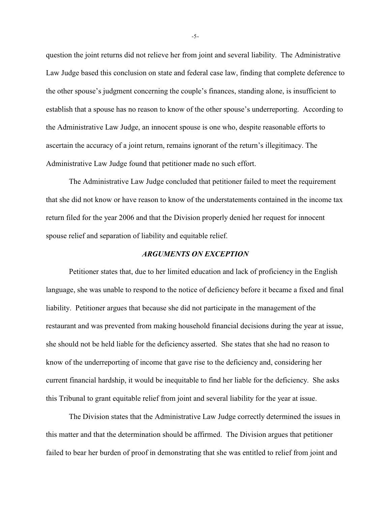question the joint returns did not relieve her from joint and several liability. The Administrative Law Judge based this conclusion on state and federal case law, finding that complete deference to the other spouse's judgment concerning the couple's finances, standing alone, is insufficient to establish that a spouse has no reason to know of the other spouse's underreporting. According to the Administrative Law Judge, an innocent spouse is one who, despite reasonable efforts to ascertain the accuracy of a joint return, remains ignorant of the return's illegitimacy. The Administrative Law Judge found that petitioner made no such effort.

The Administrative Law Judge concluded that petitioner failed to meet the requirement that she did not know or have reason to know of the understatements contained in the income tax return filed for the year 2006 and that the Division properly denied her request for innocent spouse relief and separation of liability and equitable relief.

## *ARGUMENTS ON EXCEPTION*

Petitioner states that, due to her limited education and lack of proficiency in the English language, she was unable to respond to the notice of deficiency before it became a fixed and final liability. Petitioner argues that because she did not participate in the management of the restaurant and was prevented from making household financial decisions during the year at issue, she should not be held liable for the deficiency asserted. She states that she had no reason to know of the underreporting of income that gave rise to the deficiency and, considering her current financial hardship, it would be inequitable to find her liable for the deficiency. She asks this Tribunal to grant equitable relief from joint and several liability for the year at issue.

The Division states that the Administrative Law Judge correctly determined the issues in this matter and that the determination should be affirmed. The Division argues that petitioner failed to bear her burden of proof in demonstrating that she was entitled to relief from joint and

-5-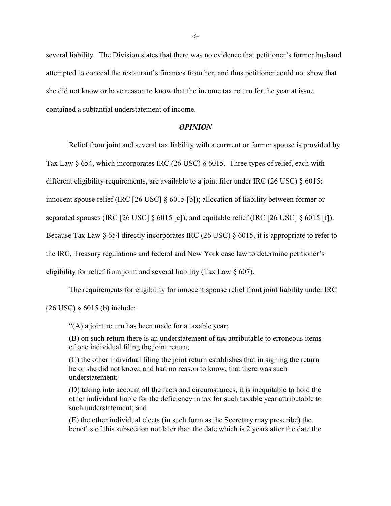several liability. The Division states that there was no evidence that petitioner's former husband attempted to conceal the restaurant's finances from her, and thus petitioner could not show that she did not know or have reason to know that the income tax return for the year at issue contained a subtantial understatement of income.

#### *OPINION*

Relief from joint and several tax liability with a currrent or former spouse is provided by Tax Law § 654, which incorporates IRC (26 USC) § 6015. Three types of relief, each with different eligibility requirements, are available to a joint filer under IRC (26 USC) § 6015: innocent spouse relief (IRC [26 USC] § 6015 [b]); allocation of liability between former or separated spouses (IRC [26 USC] § 6015 [c]); and equitable relief (IRC [26 USC] § 6015 [f]). Because Tax Law § 654 directly incorporates IRC (26 USC) § 6015, it is appropriate to refer to the IRC, Treasury regulations and federal and New York case law to determine petitioner's eligibility for relief from joint and several liability (Tax Law § 607).

The requirements for eligibility for innocent spouse relief front joint liability under IRC (26 USC) § 6015 (b) include:

"(A) a joint return has been made for a taxable year;

(B) on such return there is an understatement of tax attributable to erroneous items of one individual filing the joint return;

(C) the other individual filing the joint return establishes that in signing the return he or she did not know, and had no reason to know, that there was such understatement;

(D) taking into account all the facts and circumstances, it is inequitable to hold the other individual liable for the deficiency in tax for such taxable year attributable to such understatement; and

(E) the other individual elects (in such form as the Secretary may prescribe) the benefits of this subsection not later than the date which is 2 years after the date the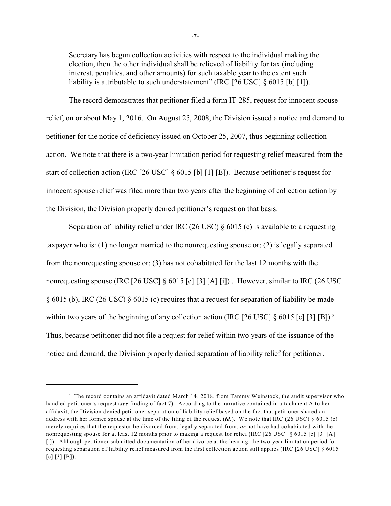Secretary has begun collection activities with respect to the individual making the election, then the other individual shall be relieved of liability for tax (including interest, penalties, and other amounts) for such taxable year to the extent such liability is attributable to such understatement" (IRC [26 USC]  $\delta$  6015 [b] [1]).

The record demonstrates that petitioner filed a form IT-285, request for innocent spouse relief, on or about May 1, 2016. On August 25, 2008, the Division issued a notice and demand to petitioner for the notice of deficiency issued on October 25, 2007, thus beginning collection action. We note that there is a two-year limitation period for requesting relief measured from the start of collection action (IRC [26 USC] § 6015 [b] [1] [E]). Because petitioner's request for innocent spouse relief was filed more than two years after the beginning of collection action by the Division, the Division properly denied petitioner's request on that basis.

Separation of liability relief under IRC (26 USC) § 6015 (c) is available to a requesting taxpayer who is: (1) no longer married to the nonrequesting spouse or; (2) is legally separated from the nonrequesting spouse or; (3) has not cohabitated for the last 12 months with the nonrequesting spouse (IRC [26 USC] § 6015 [c] [3] [A] [i]). However, similar to IRC (26 USC § 6015 (b), IRC (26 USC) § 6015 (c) requires that a request for separation of liability be made within two years of the beginning of any collection action (IRC [26 USC]  $\S$  6015 [c] [3] [B]).<sup>2</sup> Thus, because petitioner did not file a request for relief within two years of the issuance of the notice and demand, the Division properly denied separation of liability relief for petitioner.

 $2\degree$  The record contains an affidavit dated March 14, 2018, from Tammy Weinstock, the audit supervisor who handled petitioner's request (*see* finding of fact 7). According to the narrative contained in attachment A to her affidavit, the Division denied petitioner separation of liability relief based on the fact that petitioner shared an address with her former spouse at the time of the filing of the request (*id.*). We note that IRC (26 USC) § 6015 (c) merely requires that the requestor be divorced from, legally separated from, *or* not have had cohabitated with the nonrequesting spouse for at least 12 months prior to making a request for relief (IRC [26 USC] § 6015 [c] [3] [A] [i]). Although petitioner submitted documentation of her divorce at the hearing, the two-year limitation period for requesting separation of liability relief measured from the first collection action still applies (IRC [26 USC] § 6015 [c] [3] [B]).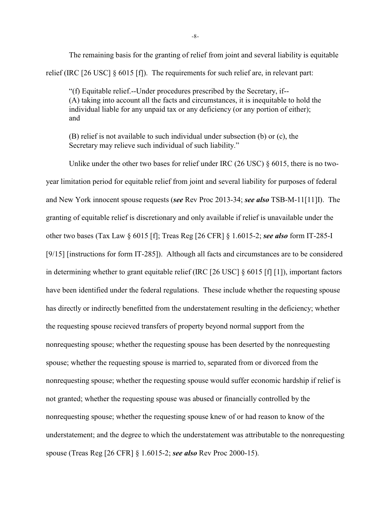The remaining basis for the granting of relief from joint and several liability is equitable relief (IRC [26 USC] § 6015 [f]). The requirements for such relief are, in relevant part:

"(f) Equitable relief.--Under procedures prescribed by the Secretary, if-- (A) taking into account all the facts and circumstances, it is inequitable to hold the individual liable for any unpaid tax or any deficiency (or any portion of either); and

(B) relief is not available to such individual under subsection (b) or (c), the Secretary may relieve such individual of such liability."

Unlike under the other two bases for relief under IRC (26 USC)  $\S 6015$ , there is no twoyear limitation period for equitable relief from joint and several liability for purposes of federal and New York innocent spouse requests (*see* Rev Proc 2013-34; *see also* TSB-M-11[11]I). The granting of equitable relief is discretionary and only available if relief is unavailable under the other two bases (Tax Law § 6015 [f]; Treas Reg [26 CFR] § 1.6015-2; *see also* form IT-285-I [9/15] [instructions for form IT-285]). Although all facts and circumstances are to be considered in determining whether to grant equitable relief (IRC [26 USC] § 6015 [f] [1]), important factors have been identified under the federal regulations. These include whether the requesting spouse has directly or indirectly benefitted from the understatement resulting in the deficiency; whether the requesting spouse recieved transfers of property beyond normal support from the nonrequesting spouse; whether the requesting spouse has been deserted by the nonrequesting spouse; whether the requesting spouse is married to, separated from or divorced from the nonrequesting spouse; whether the requesting spouse would suffer economic hardship if relief is not granted; whether the requesting spouse was abused or financially controlled by the nonrequesting spouse; whether the requesting spouse knew of or had reason to know of the understatement; and the degree to which the understatement was attributable to the nonrequesting spouse (Treas Reg [26 CFR] § 1.6015-2; *see also* Rev Proc 2000-15).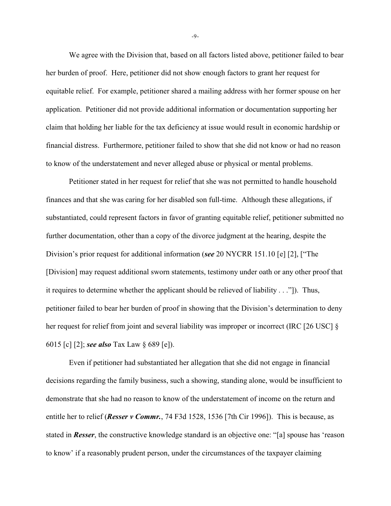We agree with the Division that, based on all factors listed above, petitioner failed to bear her burden of proof. Here, petitioner did not show enough factors to grant her request for equitable relief. For example, petitioner shared a mailing address with her former spouse on her application. Petitioner did not provide additional information or documentation supporting her claim that holding her liable for the tax deficiency at issue would result in economic hardship or financial distress. Furthermore, petitioner failed to show that she did not know or had no reason to know of the understatement and never alleged abuse or physical or mental problems.

Petitioner stated in her request for relief that she was not permitted to handle household finances and that she was caring for her disabled son full-time. Although these allegations, if substantiated, could represent factors in favor of granting equitable relief, petitioner submitted no further documentation, other than a copy of the divorce judgment at the hearing, despite the Division's prior request for additional information (*see* 20 NYCRR 151.10 [e] [2], ["The [Division] may request additional sworn statements, testimony under oath or any other proof that it requires to determine whether the applicant should be relieved of liability . . ."]). Thus, petitioner failed to bear her burden of proof in showing that the Division's determination to deny her request for relief from joint and several liability was improper or incorrect (IRC [26 USC] § 6015 [c] [2]; *see also* Tax Law § 689 [e]).

Even if petitioner had substantiated her allegation that she did not engage in financial decisions regarding the family business, such a showing, standing alone, would be insufficient to demonstrate that she had no reason to know of the understatement of income on the return and entitle her to relief (*Resser v Commr.*, 74 F3d 1528, 1536 [7th Cir 1996]). This is because, as stated in *Resser*, the constructive knowledge standard is an objective one: "[a] spouse has 'reason to know' if a reasonably prudent person, under the circumstances of the taxpayer claiming

-9-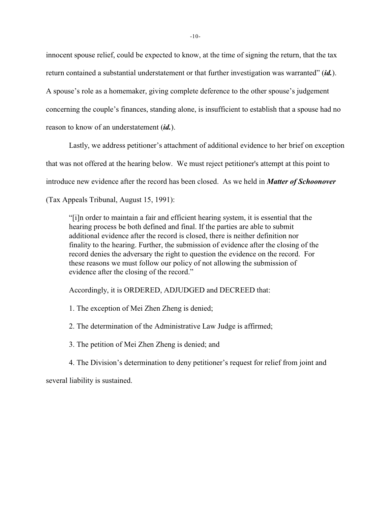innocent spouse relief, could be expected to know, at the time of signing the return, that the tax return contained a substantial understatement or that further investigation was warranted" (*id.*). A spouse's role as a homemaker, giving complete deference to the other spouse's judgement concerning the couple's finances, standing alone, is insufficient to establish that a spouse had no reason to know of an understatement (*id.*).

Lastly, we address petitioner's attachment of additional evidence to her brief on exception that was not offered at the hearing below. We must reject petitioner's attempt at this point to introduce new evidence after the record has been closed. As we held in *Matter of Schoonover* (Tax Appeals Tribunal, August 15, 1991):

"[i]n order to maintain a fair and efficient hearing system, it is essential that the hearing process be both defined and final. If the parties are able to submit additional evidence after the record is closed, there is neither definition nor finality to the hearing. Further, the submission of evidence after the closing of the record denies the adversary the right to question the evidence on the record. For these reasons we must follow our policy of not allowing the submission of evidence after the closing of the record."

Accordingly, it is ORDERED, ADJUDGED and DECREED that:

1. The exception of Mei Zhen Zheng is denied;

2. The determination of the Administrative Law Judge is affirmed;

3. The petition of Mei Zhen Zheng is denied; and

4. The Division's determination to deny petitioner's request for relief from joint and

several liability is sustained.